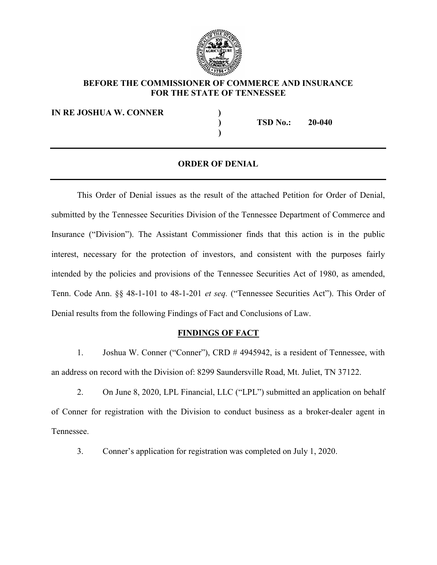

### BEFORE THE COMMISSIONER OF COMMERCE AND INSURANCE FOR THE STATE OF TENNESSEE

IN RE JOSHUA W. CONNER  $)$ 

) TSD No.: 20-040

#### ORDER OF DENIAL

)

This Order of Denial issues as the result of the attached Petition for Order of Denial, submitted by the Tennessee Securities Division of the Tennessee Department of Commerce and Insurance ("Division"). The Assistant Commissioner finds that this action is in the public interest, necessary for the protection of investors, and consistent with the purposes fairly intended by the policies and provisions of the Tennessee Securities Act of 1980, as amended, Tenn. Code Ann. §§ 48-1-101 to 48-1-201 et seq. ("Tennessee Securities Act"). This Order of Denial results from the following Findings of Fact and Conclusions of Law.

#### FINDINGS OF FACT

1. Joshua W. Conner ("Conner"), CRD # 4945942, is a resident of Tennessee, with an address on record with the Division of: 8299 Saundersville Road, Mt. Juliet, TN 37122.

2. On June 8, 2020, LPL Financial, LLC ("LPL") submitted an application on behalf of Conner for registration with the Division to conduct business as a broker-dealer agent in Tennessee.

3. Conner's application for registration was completed on July 1, 2020.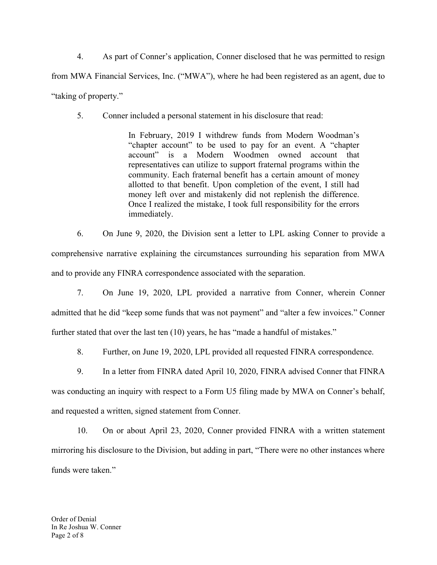4. As part of Conner's application, Conner disclosed that he was permitted to resign from MWA Financial Services, Inc. ("MWA"), where he had been registered as an agent, due to "taking of property."

5. Conner included a personal statement in his disclosure that read:

In February, 2019 I withdrew funds from Modern Woodman's "chapter account" to be used to pay for an event. A "chapter account" is a Modern Woodmen owned account that representatives can utilize to support fraternal programs within the community. Each fraternal benefit has a certain amount of money allotted to that benefit. Upon completion of the event, I still had money left over and mistakenly did not replenish the difference. Once I realized the mistake, I took full responsibility for the errors immediately.

6. On June 9, 2020, the Division sent a letter to LPL asking Conner to provide a comprehensive narrative explaining the circumstances surrounding his separation from MWA and to provide any FINRA correspondence associated with the separation.

7. On June 19, 2020, LPL provided a narrative from Conner, wherein Conner admitted that he did "keep some funds that was not payment" and "alter a few invoices." Conner further stated that over the last ten (10) years, he has "made a handful of mistakes."

8. Further, on June 19, 2020, LPL provided all requested FINRA correspondence.

9. In a letter from FINRA dated April 10, 2020, FINRA advised Conner that FINRA was conducting an inquiry with respect to a Form U5 filing made by MWA on Conner's behalf, and requested a written, signed statement from Conner.

10. On or about April 23, 2020, Conner provided FINRA with a written statement mirroring his disclosure to the Division, but adding in part, "There were no other instances where funds were taken."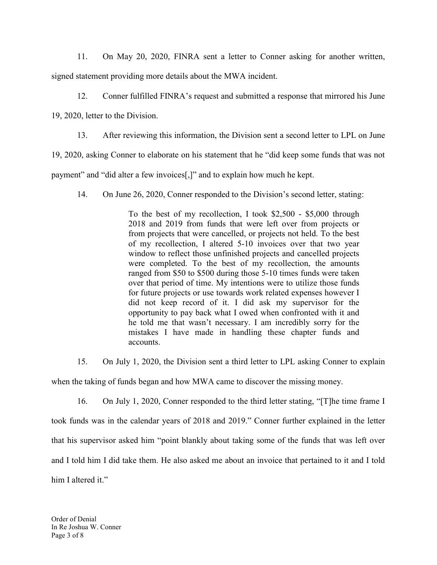11. On May 20, 2020, FINRA sent a letter to Conner asking for another written, signed statement providing more details about the MWA incident.

12. Conner fulfilled FINRA's request and submitted a response that mirrored his June

19, 2020, letter to the Division.

13. After reviewing this information, the Division sent a second letter to LPL on June

19, 2020, asking Conner to elaborate on his statement that he "did keep some funds that was not

payment" and "did alter a few invoices[,]" and to explain how much he kept.

14. On June 26, 2020, Conner responded to the Division's second letter, stating:

To the best of my recollection, I took \$2,500 - \$5,000 through 2018 and 2019 from funds that were left over from projects or from projects that were cancelled, or projects not held. To the best of my recollection, I altered 5-10 invoices over that two year window to reflect those unfinished projects and cancelled projects were completed. To the best of my recollection, the amounts ranged from \$50 to \$500 during those 5-10 times funds were taken over that period of time. My intentions were to utilize those funds for future projects or use towards work related expenses however I did not keep record of it. I did ask my supervisor for the opportunity to pay back what I owed when confronted with it and he told me that wasn't necessary. I am incredibly sorry for the mistakes I have made in handling these chapter funds and accounts.

15. On July 1, 2020, the Division sent a third letter to LPL asking Conner to explain when the taking of funds began and how MWA came to discover the missing money.

16. On July 1, 2020, Conner responded to the third letter stating, "[T]he time frame I took funds was in the calendar years of 2018 and 2019." Conner further explained in the letter that his supervisor asked him "point blankly about taking some of the funds that was left over and I told him I did take them. He also asked me about an invoice that pertained to it and I told him I altered it."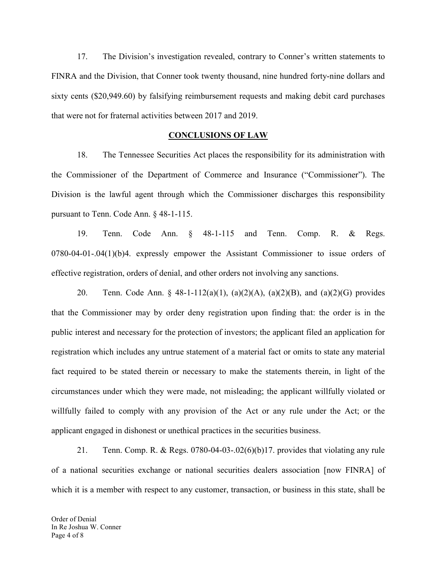17. The Division's investigation revealed, contrary to Conner's written statements to FINRA and the Division, that Conner took twenty thousand, nine hundred forty-nine dollars and sixty cents (\$20,949.60) by falsifying reimbursement requests and making debit card purchases that were not for fraternal activities between 2017 and 2019.

#### CONCLUSIONS OF LAW

18. The Tennessee Securities Act places the responsibility for its administration with the Commissioner of the Department of Commerce and Insurance ("Commissioner"). The Division is the lawful agent through which the Commissioner discharges this responsibility pursuant to Tenn. Code Ann. § 48-1-115.

19. Tenn. Code Ann. § 48-1-115 and Tenn. Comp. R. & Regs. 0780-04-01-.04(1)(b)4. expressly empower the Assistant Commissioner to issue orders of effective registration, orders of denial, and other orders not involving any sanctions.

20. Tenn. Code Ann. § 48-1-112(a)(1), (a)(2)(A), (a)(2)(B), and (a)(2)(G) provides that the Commissioner may by order deny registration upon finding that: the order is in the public interest and necessary for the protection of investors; the applicant filed an application for registration which includes any untrue statement of a material fact or omits to state any material fact required to be stated therein or necessary to make the statements therein, in light of the circumstances under which they were made, not misleading; the applicant willfully violated or willfully failed to comply with any provision of the Act or any rule under the Act; or the applicant engaged in dishonest or unethical practices in the securities business.

21. Tenn. Comp. R. & Regs. 0780-04-03-.02(6)(b)17. provides that violating any rule of a national securities exchange or national securities dealers association [now FINRA] of which it is a member with respect to any customer, transaction, or business in this state, shall be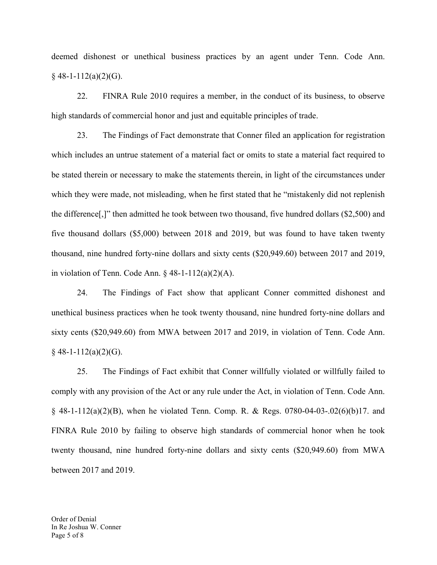deemed dishonest or unethical business practices by an agent under Tenn. Code Ann.  $§$  48-1-112(a)(2)(G).

22. FINRA Rule 2010 requires a member, in the conduct of its business, to observe high standards of commercial honor and just and equitable principles of trade.

23. The Findings of Fact demonstrate that Conner filed an application for registration which includes an untrue statement of a material fact or omits to state a material fact required to be stated therein or necessary to make the statements therein, in light of the circumstances under which they were made, not misleading, when he first stated that he "mistakenly did not replenish the difference[,]" then admitted he took between two thousand, five hundred dollars (\$2,500) and five thousand dollars (\$5,000) between 2018 and 2019, but was found to have taken twenty thousand, nine hundred forty-nine dollars and sixty cents (\$20,949.60) between 2017 and 2019, in violation of Tenn. Code Ann.  $\S$  48-1-112(a)(2)(A).

24. The Findings of Fact show that applicant Conner committed dishonest and unethical business practices when he took twenty thousand, nine hundred forty-nine dollars and sixty cents (\$20,949.60) from MWA between 2017 and 2019, in violation of Tenn. Code Ann.  $§$  48-1-112(a)(2)(G).

25. The Findings of Fact exhibit that Conner willfully violated or willfully failed to comply with any provision of the Act or any rule under the Act, in violation of Tenn. Code Ann.  $\S$  48-1-112(a)(2)(B), when he violated Tenn. Comp. R. & Regs. 0780-04-03-.02(6)(b)17. and FINRA Rule 2010 by failing to observe high standards of commercial honor when he took twenty thousand, nine hundred forty-nine dollars and sixty cents (\$20,949.60) from MWA between 2017 and 2019.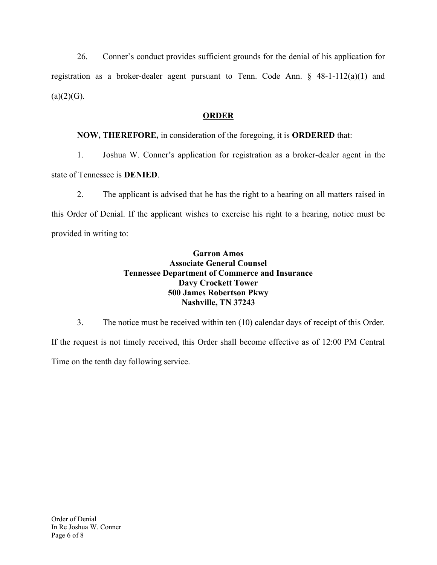26. Conner's conduct provides sufficient grounds for the denial of his application for registration as a broker-dealer agent pursuant to Tenn. Code Ann. § 48-1-112(a)(1) and  $(a)(2)(G)$ .

## ORDER

# NOW, THEREFORE, in consideration of the foregoing, it is ORDERED that:

1. Joshua W. Conner's application for registration as a broker-dealer agent in the

state of Tennessee is DENIED.

2. The applicant is advised that he has the right to a hearing on all matters raised in this Order of Denial. If the applicant wishes to exercise his right to a hearing, notice must be provided in writing to:

### Garron Amos Associate General Counsel Tennessee Department of Commerce and Insurance Davy Crockett Tower 500 James Robertson Pkwy Nashville, TN 37243

3. The notice must be received within ten (10) calendar days of receipt of this Order. If the request is not timely received, this Order shall become effective as of 12:00 PM Central Time on the tenth day following service.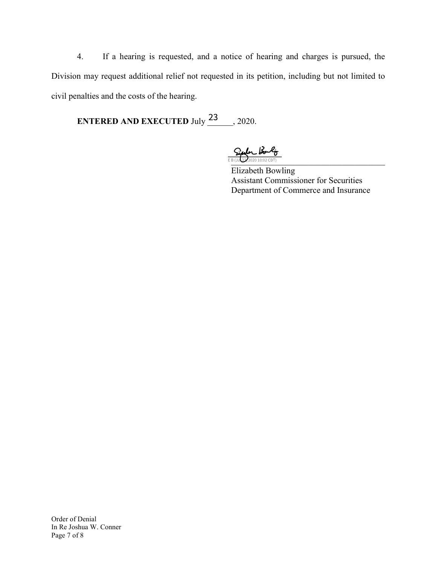4. If a hearing is requested, and a notice of hearing and charges is pursued, the Division may request additional relief not requested in its petition, including but not limited to civil penalties and the costs of the hearing.

ENTERED AND EXECUTED July  $\frac{23}{100}$ , 2020.

 $\frac{C_{i}}{E B(JUQ)}\frac{1}{2202010:02\text{ CDT}}$ 

Elizabeth Bowling Assistant Commissioner for Securities Department of Commerce and Insurance